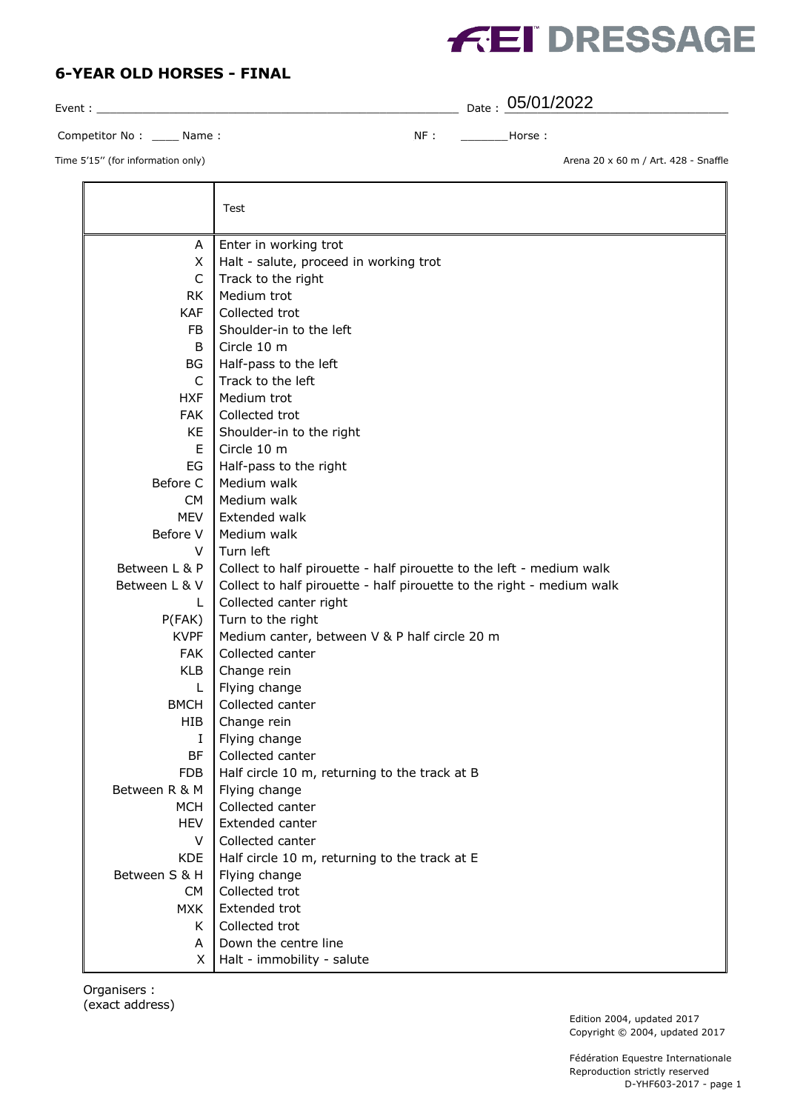

| Event:                   |    |  | $_{\text{Date}}$ : 05/01/2022 |
|--------------------------|----|--|-------------------------------|
| Competitor No:<br>Name : | ΝF |  | Horse :                       |

Time 5'15" (for information only) and the state of the state of the State of Art. 428 - Snaffle

|               | Test                                                                  |
|---------------|-----------------------------------------------------------------------|
| Α             | Enter in working trot                                                 |
| X             | Halt - salute, proceed in working trot                                |
| $\mathsf{C}$  | Track to the right                                                    |
| <b>RK</b>     | Medium trot                                                           |
| <b>KAF</b>    | Collected trot                                                        |
| FB.           | Shoulder-in to the left                                               |
| B             | Circle 10 m                                                           |
| BG            | Half-pass to the left                                                 |
| C             | Track to the left                                                     |
| <b>HXF</b>    | Medium trot                                                           |
| <b>FAK</b>    | Collected trot                                                        |
| KE            | Shoulder-in to the right                                              |
| Е             | Circle 10 m                                                           |
| EG            | Half-pass to the right                                                |
| Before C      | Medium walk                                                           |
| <b>CM</b>     | Medium walk                                                           |
| <b>MEV</b>    | Extended walk                                                         |
| Before V      | Medium walk                                                           |
| V             | Turn left                                                             |
| Between L & P | Collect to half pirouette - half pirouette to the left - medium walk  |
| Between L & V | Collect to half pirouette - half pirouette to the right - medium walk |
| L             | Collected canter right                                                |
| P(FAK)        | Turn to the right                                                     |
| <b>KVPF</b>   | Medium canter, between V & P half circle 20 m                         |
| <b>FAK</b>    | Collected canter                                                      |
| <b>KLB</b>    | Change rein                                                           |
| L             | Flying change                                                         |
| <b>BMCH</b>   | Collected canter                                                      |
| HIB           | Change rein                                                           |
| I             | Flying change                                                         |
| BF            | Collected canter                                                      |
| <b>FDB</b>    | Half circle 10 m, returning to the track at B                         |
| Between R & M | Flying change                                                         |
| <b>MCH</b>    | Collected canter                                                      |
| <b>HEV</b>    | Extended canter                                                       |
| V             | Collected canter                                                      |
| <b>KDE</b>    | Half circle 10 m, returning to the track at E                         |
| Between S & H | Flying change                                                         |
| <b>CM</b>     | Collected trot                                                        |
| <b>MXK</b>    | Extended trot<br>Collected trot                                       |
| K.            | Down the centre line                                                  |
| A             |                                                                       |
| X.            | Halt - immobility - salute                                            |

Organisers : (exact address)

Edition 2004, updated 2017 Copyright © 2004, updated 2017